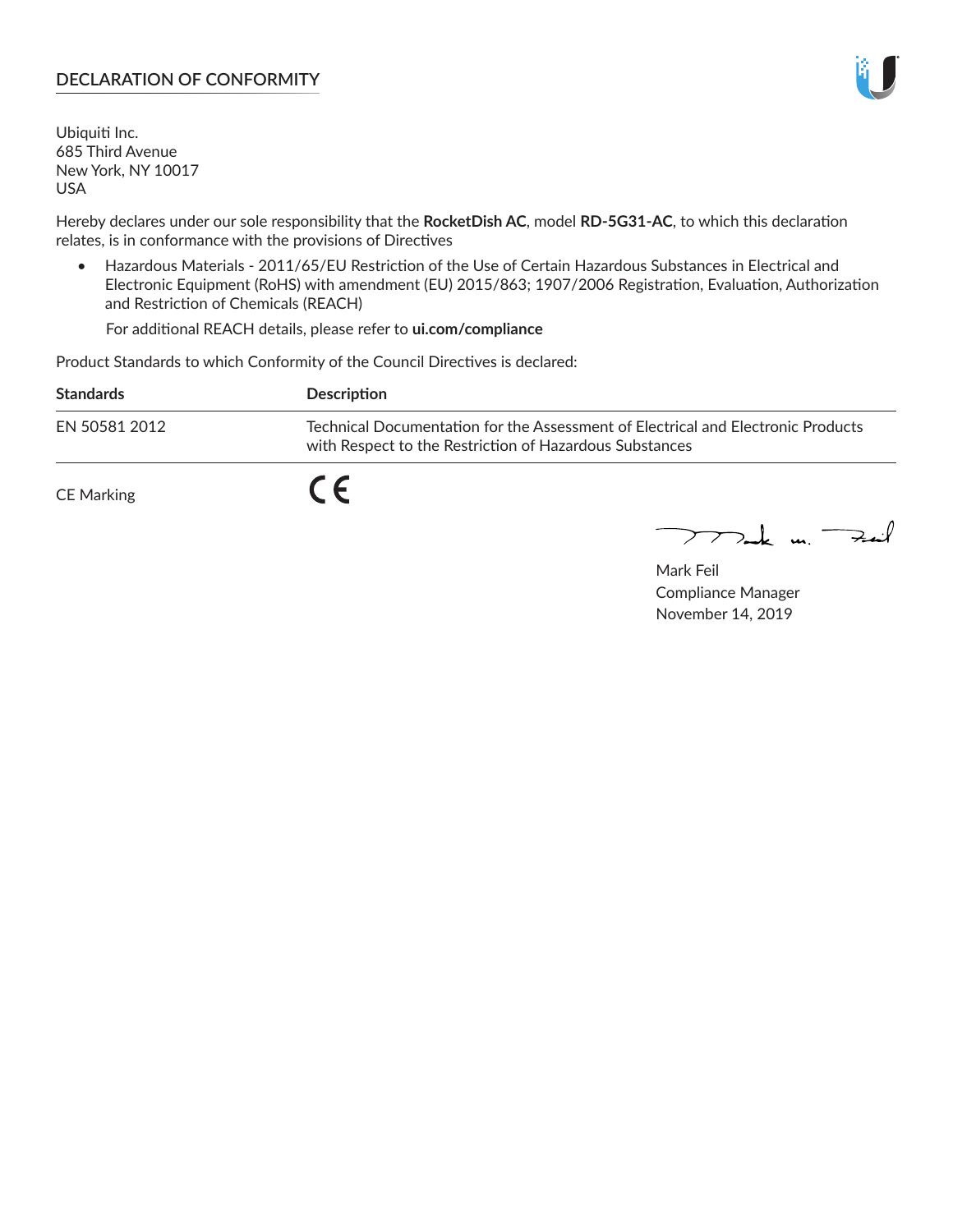### **DECLARATION OF CONFORMITY**

Ubiquiti Inc. 685 Third Avenue New York, NY 10017 USA

Hereby declares under our sole responsibility that the **RocketDish AC**, model **RD-5G31-AC**, to which this declaration relates, is in conformance with the provisions of Directives

• Hazardous Materials - 2011/65/EU Restriction of the Use of Certain Hazardous Substances in Electrical and Electronic Equipment (RoHS) with amendment (EU) 2015/863; 1907/2006 Registration, Evaluation, Authorization and Restriction of Chemicals (REACH)

For additional REACH details, please refer to **ui.com/compliance**

Product Standards to which Conformity of the Council Directives is declared:

| <b>Standards</b>  | Description                                                                                                                                 |
|-------------------|---------------------------------------------------------------------------------------------------------------------------------------------|
| EN 50581 2012     | Technical Documentation for the Assessment of Electrical and Electronic Products<br>with Respect to the Restriction of Hazardous Substances |
| <b>CE Marking</b> |                                                                                                                                             |

 $\sum_{n=1}^{\infty}$  un  $\sum_{n=1}^{\infty}$ 

Mark Feil Compliance Manager November 14, 2019

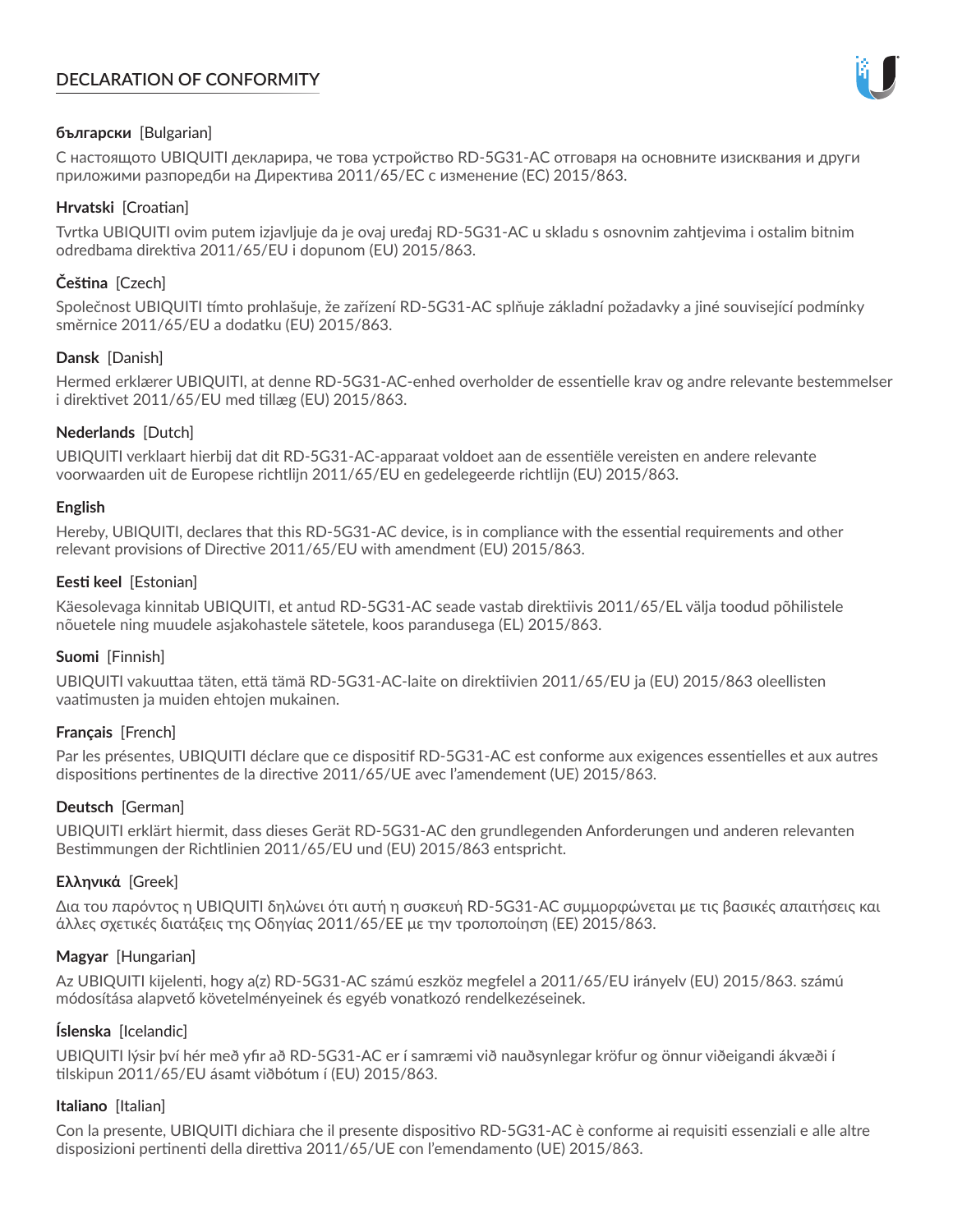# **DECLARATION OF CONFORMITY**



# **български** [Bulgarian]

С настоящото UBIQUITI декларира, че това устройство RD-5G31-AC отговаря на основните изисквания и други приложими разпоредби на Директива 2011/65/ЕС с изменение (ЕС) 2015/863.

# **Hrvatski** [Croatian]

Tvrtka UBIQUITI ovim putem izjavljuje da je ovaj uređaj RD-5G31-AC u skladu s osnovnim zahtjevima i ostalim bitnim odredbama direktiva 2011/65/EU i dopunom (EU) 2015/863.

# **Čeština** [Czech]

Společnost UBIQUITI tímto prohlašuje, že zařízení RD-5G31-AC splňuje základní požadavky a jiné související podmínky směrnice 2011/65/EU a dodatku (EU) 2015/863.

# **Dansk** [Danish]

Hermed erklærer UBIQUITI, at denne RD-5G31-AC-enhed overholder de essentielle krav og andre relevante bestemmelser i direktivet 2011/65/EU med tillæg (EU) 2015/863.

# **Nederlands** [Dutch]

UBIQUITI verklaart hierbij dat dit RD-5G31-AC-apparaat voldoet aan de essentiële vereisten en andere relevante voorwaarden uit de Europese richtlijn 2011/65/EU en gedelegeerde richtlijn (EU) 2015/863.

#### **English**

Hereby, UBIQUITI, declares that this RD-5G31-AC device, is in compliance with the essential requirements and other relevant provisions of Directive 2011/65/EU with amendment (EU) 2015/863.

### **Eesti keel** [Estonian]

Käesolevaga kinnitab UBIQUITI, et antud RD-5G31-AC seade vastab direktiivis 2011/65/EL välja toodud põhilistele nõuetele ning muudele asjakohastele sätetele, koos parandusega (EL) 2015/863.

# **Suomi** [Finnish]

UBIQUITI vakuuttaa täten, että tämä RD-5G31-AC-laite on direktiivien 2011/65/EU ja (EU) 2015/863 oleellisten vaatimusten ja muiden ehtojen mukainen.

# **Français** [French]

Par les présentes, UBIQUITI déclare que ce dispositif RD-5G31-AC est conforme aux exigences essentielles et aux autres dispositions pertinentes de la directive 2011/65/UE avec l'amendement (UE) 2015/863.

# **Deutsch** [German]

UBIQUITI erklärt hiermit, dass dieses Gerät RD-5G31-AC den grundlegenden Anforderungen und anderen relevanten Bestimmungen der Richtlinien 2011/65/EU und (EU) 2015/863 entspricht.

# **Ελληνικά** [Greek]

Δια του παρόντος η UBIQUITI δηλώνει ότι αυτή η συσκευή RD-5G31-AC συμμορφώνεται με τις βασικές απαιτήσεις και άλλες σχετικές διατάξεις της Οδηγίας 2011/65/ΕΕ με την τροποποίηση (ΕΕ) 2015/863.

# **Magyar** [Hungarian]

Az UBIQUITI kijelenti, hogy a(z) RD-5G31-AC számú eszköz megfelel a 2011/65/EU irányelv (EU) 2015/863. számú módosítása alapvető követelményeinek és egyéb vonatkozó rendelkezéseinek.

#### **Íslenska** [Icelandic]

UBIQUITI lýsir því hér með yfir að RD-5G31-AC er í samræmi við nauðsynlegar kröfur og önnur viðeigandi ákvæði í tilskipun 2011/65/EU ásamt viðbótum í (EU) 2015/863.

#### **Italiano** [Italian]

Con la presente, UBIQUITI dichiara che il presente dispositivo RD-5G31-AC è conforme ai requisiti essenziali e alle altre disposizioni pertinenti della direttiva 2011/65/UE con l'emendamento (UE) 2015/863.